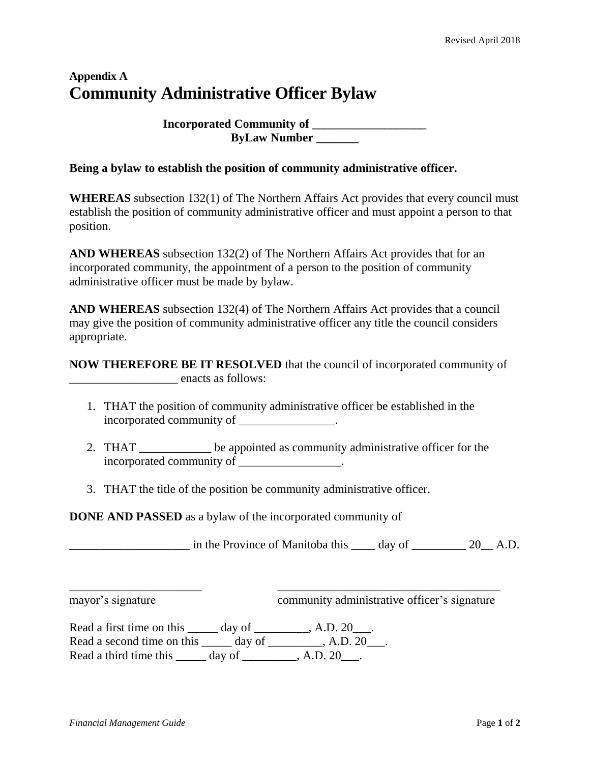## **Appendix A Community Administrative Officer Bylaw**

**Incorporated Community of \_\_\_\_\_\_\_\_\_\_\_\_\_\_\_\_\_\_\_ ByLaw Number \_\_\_\_\_\_\_**

## **Being a bylaw to establish the position of community administrative officer.**

**WHEREAS** subsection 132(1) of The Northern Affairs Act provides that every council must establish the position of community administrative officer and must appoint a person to that position.

**AND WHEREAS** subsection 132(2) of The Northern Affairs Act provides that for an incorporated community, the appointment of a person to the position of community administrative officer must be made by bylaw.

**AND WHEREAS** subsection 132(4) of The Northern Affairs Act provides that a council may give the position of community administrative officer any title the council considers appropriate.

**NOW THEREFORE BE IT RESOLVED** that the council of incorporated community of \_\_\_\_\_\_\_\_\_\_\_\_\_\_\_\_\_\_ enacts as follows:

- 1. THAT the position of community administrative officer be established in the incorporated community of \_\_\_\_\_\_\_\_\_\_\_\_\_\_\_.
- 2. THAT \_\_\_\_\_\_\_\_\_\_\_\_ be appointed as community administrative officer for the incorporated community of  $\blacksquare$

\_\_\_\_\_\_\_\_\_\_\_\_\_\_\_\_\_\_\_\_\_\_ \_\_\_\_\_\_\_\_\_\_\_\_\_\_\_\_\_\_\_\_\_\_\_\_\_\_\_\_\_\_\_\_\_\_\_\_\_

3. THAT the title of the position be community administrative officer.

**DONE AND PASSED** as a bylaw of the incorporated community of

 $\frac{1}{20}$  in the Province of Manitoba this  $\frac{1}{20}$  day of  $\frac{20}{20}$  A.D.

mayor's signature community administrative officer's signature

Read a first time on this \_\_\_\_\_ day of \_\_\_\_\_\_\_\_, A.D. 20\_\_\_. Read a second time on this day of A.D. 20. Read a third time this day of A.D. 20